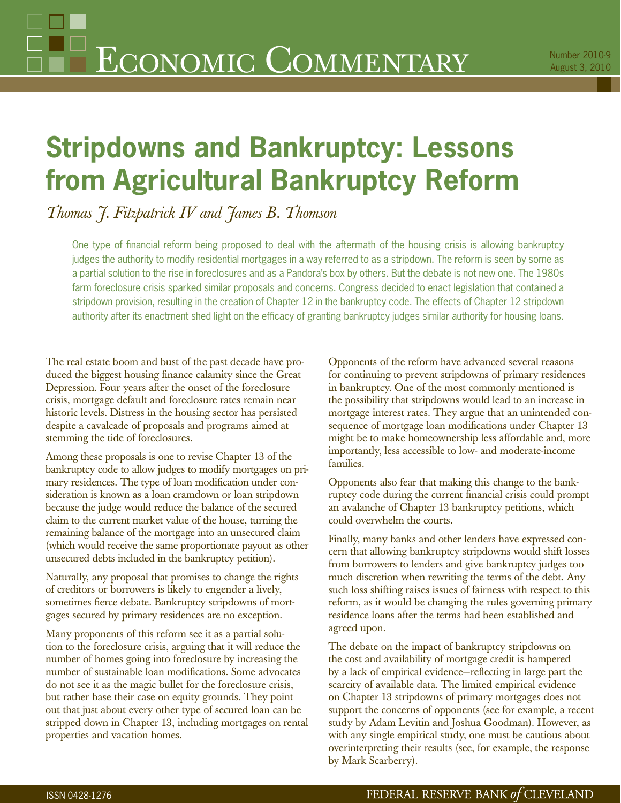# **Stripdowns and Bankruptcy: Lessons from Agricultural Bankruptcy Reform**

*Thomas J. Fitzpatrick IV and James B. Thomson*

One type of financial reform being proposed to deal with the aftermath of the housing crisis is allowing bankruptcy judges the authority to modify residential mortgages in a way referred to as a stripdown. The reform is seen by some as a partial solution to the rise in foreclosures and as a Pandora's box by others. But the debate is not new one. The 1980s farm foreclosure crisis sparked similar proposals and concerns. Congress decided to enact legislation that contained a stripdown provision, resulting in the creation of Chapter 12 in the bankruptcy code. The effects of Chapter 12 stripdown authority after its enactment shed light on the efficacy of granting bankruptcy judges similar authority for housing loans.

The real estate boom and bust of the past decade have produced the biggest housing finance calamity since the Great Depression. Four years after the onset of the foreclosure crisis, mortgage default and foreclosure rates remain near historic levels. Distress in the housing sector has persisted despite a cavalcade of proposals and programs aimed at stemming the tide of foreclosures.

Among these proposals is one to revise Chapter 13 of the bankruptcy code to allow judges to modify mortgages on primary residences. The type of loan modification under consideration is known as a loan cramdown or loan stripdown because the judge would reduce the balance of the secured claim to the current market value of the house, turning the remaining balance of the mortgage into an unsecured claim (which would receive the same proportionate payout as other unsecured debts included in the bankruptcy petition).

Naturally, any proposal that promises to change the rights of creditors or borrowers is likely to engender a lively, sometimes fierce debate. Bankruptcy stripdowns of mortgages secured by primary residences are no exception.

Many proponents of this reform see it as a partial solution to the foreclosure crisis, arguing that it will reduce the number of homes going into foreclosure by increasing the number of sustainable loan modifications. Some advocates do not see it as the magic bullet for the foreclosure crisis, but rather base their case on equity grounds. They point out that just about every other type of secured loan can be stripped down in Chapter 13, including mortgages on rental properties and vacation homes.

Opponents of the reform have advanced several reasons for continuing to prevent stripdowns of primary residences in bankruptcy. One of the most commonly mentioned is the possibility that stripdowns would lead to an increase in mortgage interest rates. They argue that an unintended consequence of mortgage loan modifications under Chapter 13 might be to make homeownership less affordable and, more importantly, less accessible to low- and moderate-income families.

Opponents also fear that making this change to the bankruptcy code during the current financial crisis could prompt an avalanche of Chapter 13 bankruptcy petitions, which could overwhelm the courts.

Finally, many banks and other lenders have expressed concern that allowing bankruptcy stripdowns would shift losses from borrowers to lenders and give bankruptcy judges too much discretion when rewriting the terms of the debt. Any such loss shifting raises issues of fairness with respect to this reform, as it would be changing the rules governing primary residence loans after the terms had been established and agreed upon.

The debate on the impact of bankruptcy stripdowns on the cost and availability of mortgage credit is hampered by a lack of empirical evidence—reflecting in large part the scarcity of available data. The limited empirical evidence on Chapter 13 stripdowns of primary mortgages does not support the concerns of opponents (see for example, a recent study by Adam Levitin and Joshua Goodman). However, as with any single empirical study, one must be cautious about overinterpreting their results (see, for example, the response by Mark Scarberry).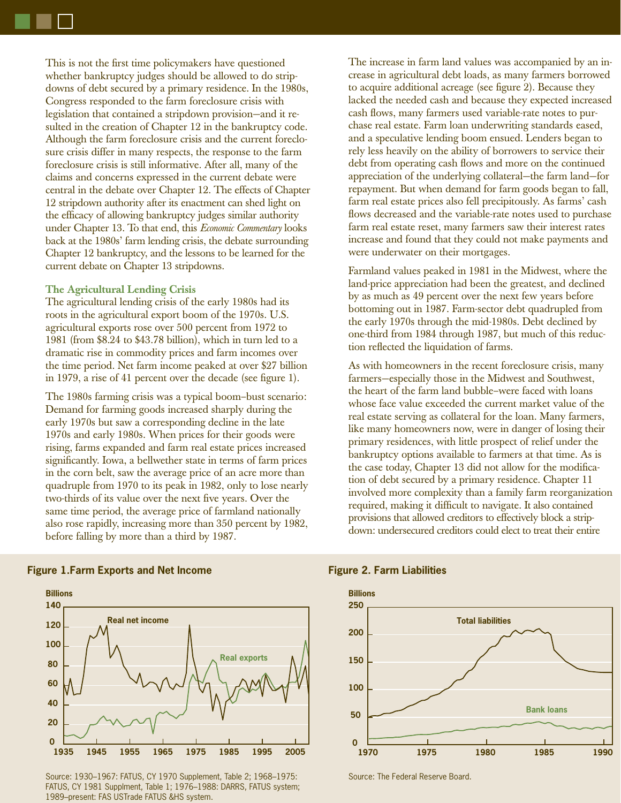This is not the first time policymakers have questioned whether bankruptcy judges should be allowed to do stripdowns of debt secured by a primary residence. In the 1980s, Congress responded to the farm foreclosure crisis with legislation that contained a stripdown provision—and it resulted in the creation of Chapter 12 in the bankruptcy code. Although the farm foreclosure crisis and the current foreclosure crisis differ in many respects, the response to the farm foreclosure crisis is still informative. After all, many of the claims and concerns expressed in the current debate were central in the debate over Chapter 12. The effects of Chapter 12 stripdown authority after its enactment can shed light on the efficacy of allowing bankruptcy judges similar authority under Chapter 13. To that end, this *Economic Commentary* looks back at the 1980s' farm lending crisis, the debate surrounding Chapter 12 bankruptcy, and the lessons to be learned for the current debate on Chapter 13 stripdowns.

# **The Agricultural Lending Crisis**

The agricultural lending crisis of the early 1980s had its roots in the agricultural export boom of the 1970s. U.S. agricultural exports rose over 500 percent from 1972 to 1981 (from \$8.24 to \$43.78 billion), which in turn led to a dramatic rise in commodity prices and farm incomes over the time period. Net farm income peaked at over \$27 billion in 1979, a rise of 41 percent over the decade (see figure 1).

The 1980s farming crisis was a typical boom–bust scenario: Demand for farming goods increased sharply during the early 1970s but saw a corresponding decline in the late 1970s and early 1980s. When prices for their goods were rising, farms expanded and farm real estate prices increased significantly. Iowa, a bellwether state in terms of farm prices in the corn belt, saw the average price of an acre more than quadruple from 1970 to its peak in 1982, only to lose nearly two-thirds of its value over the next five years. Over the same time period, the average price of farmland nationally also rose rapidly, increasing more than 350 percent by 1982, before falling by more than a third by 1987.

The increase in farm land values was accompanied by an increase in agricultural debt loads, as many farmers borrowed to acquire additional acreage (see figure 2). Because they lacked the needed cash and because they expected increased cash flows, many farmers used variable-rate notes to purchase real estate. Farm loan underwriting standards eased, and a speculative lending boom ensued. Lenders began to rely less heavily on the ability of borrowers to service their debt from operating cash flows and more on the continued appreciation of the underlying collateral—the farm land—for repayment. But when demand for farm goods began to fall, farm real estate prices also fell precipitously. As farms' cash flows decreased and the variable-rate notes used to purchase farm real estate reset, many farmers saw their interest rates increase and found that they could not make payments and were underwater on their mortgages.

Farmland values peaked in 1981 in the Midwest, where the land-price appreciation had been the greatest, and declined by as much as 49 percent over the next few years before bottoming out in 1987. Farm-sector debt quadrupled from the early 1970s through the mid-1980s. Debt declined by one-third from 1984 through 1987, but much of this reduction reflected the liquidation of farms.

As with homeowners in the recent foreclosure crisis, many farmers—especially those in the Midwest and Southwest, the heart of the farm land bubble–were faced with loans whose face value exceeded the current market value of the real estate serving as collateral for the loan. Many farmers, like many homeowners now, were in danger of losing their primary residences, with little prospect of relief under the bankruptcy options available to farmers at that time. As is the case today, Chapter 13 did not allow for the modification of debt secured by a primary residence. Chapter 11 involved more complexity than a family farm reorganization required, making it difficult to navigate. It also contained provisions that allowed creditors to effectively block a stripdown: undersecured creditors could elect to treat their entire



# **Figure 1.Farm Exports and Net Income Figure 2. Farm Liabilities**

Source: 1930–1967: FATUS, CY 1970 Supplement, Table 2; 1968–1975: FATUS, CY 1981 Supplment, Table 1; 1976–1988: DARRS, FATUS system; 1989–present: FAS USTrade FATUS &HS system.



Source: The Federal Reserve Board.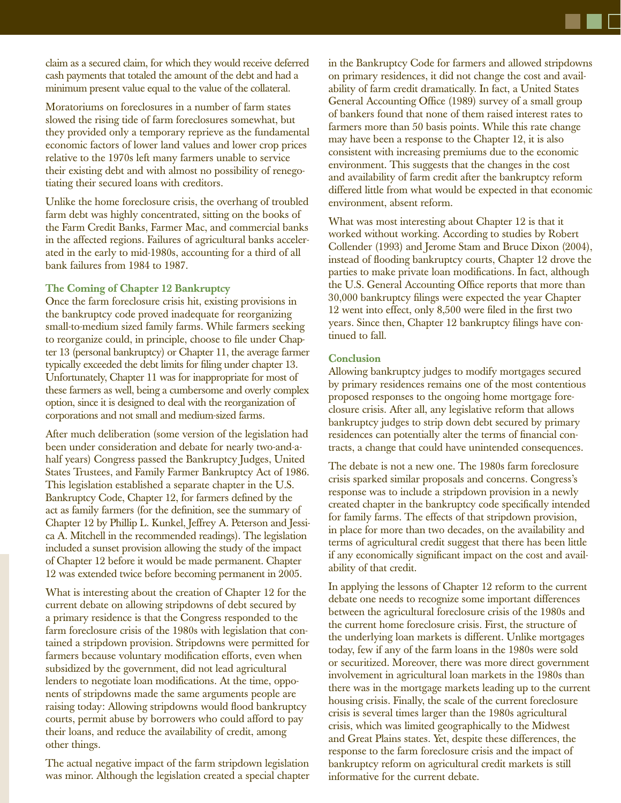claim as a secured claim, for which they would receive deferred cash payments that totaled the amount of the debt and had a minimum present value equal to the value of the collateral.

Moratoriums on foreclosures in a number of farm states slowed the rising tide of farm foreclosures somewhat, but they provided only a temporary reprieve as the fundamental economic factors of lower land values and lower crop prices relative to the 1970s left many farmers unable to service their existing debt and with almost no possibility of renegotiating their secured loans with creditors.

Unlike the home foreclosure crisis, the overhang of troubled farm debt was highly concentrated, sitting on the books of the Farm Credit Banks, Farmer Mac, and commercial banks in the affected regions. Failures of agricultural banks accelerated in the early to mid-1980s, accounting for a third of all bank failures from 1984 to 1987.

# **The Coming of Chapter 12 Bankruptcy**

Once the farm foreclosure crisis hit, existing provisions in the bankruptcy code proved inadequate for reorganizing small-to-medium sized family farms. While farmers seeking to reorganize could, in principle, choose to file under Chapter 13 (personal bankruptcy) or Chapter 11, the average farmer typically exceeded the debt limits for filing under chapter 13. Unfortunately, Chapter 11 was for inappropriate for most of these farmers as well, being a cumbersome and overly complex option, since it is designed to deal with the reorganization of corporations and not small and medium-sized farms.

After much deliberation (some version of the legislation had been under consideration and debate for nearly two-and-ahalf years) Congress passed the Bankruptcy Judges, United States Trustees, and Family Farmer Bankruptcy Act of 1986. This legislation established a separate chapter in the U.S. Bankruptcy Code, Chapter 12, for farmers defined by the act as family farmers (for the definition, see the summary of Chapter 12 by Phillip L. Kunkel, Jeffrey A. Peterson and Jessica A. Mitchell in the recommended readings). The legislation included a sunset provision allowing the study of the impact of Chapter 12 before it would be made permanent. Chapter 12 was extended twice before becoming permanent in 2005.

What is interesting about the creation of Chapter 12 for the current debate on allowing stripdowns of debt secured by a primary residence is that the Congress responded to the farm foreclosure crisis of the 1980s with legislation that contained a stripdown provision. Stripdowns were permitted for farmers because voluntary modification efforts, even when subsidized by the government, did not lead agricultural lenders to negotiate loan modifications. At the time, opponents of stripdowns made the same arguments people are raising today: Allowing stripdowns would flood bankruptcy courts, permit abuse by borrowers who could afford to pay their loans, and reduce the availability of credit, among other things.

The actual negative impact of the farm stripdown legislation was minor. Although the legislation created a special chapter in the Bankruptcy Code for farmers and allowed stripdowns on primary residences, it did not change the cost and availability of farm credit dramatically. In fact, a United States General Accounting Office (1989) survey of a small group of bankers found that none of them raised interest rates to farmers more than 50 basis points. While this rate change may have been a response to the Chapter 12, it is also consistent with increasing premiums due to the economic environment. This suggests that the changes in the cost and availability of farm credit after the bankruptcy reform differed little from what would be expected in that economic environment, absent reform.

What was most interesting about Chapter 12 is that it worked without working. According to studies by Robert Collender (1993) and Jerome Stam and Bruce Dixon (2004), instead of flooding bankruptcy courts, Chapter 12 drove the parties to make private loan modifications. In fact, although the U.S. General Accounting Office reports that more than 30,000 bankruptcy filings were expected the year Chapter  $12$  went into effect, only  $8,500$  were filed in the first two years. Since then, Chapter 12 bankruptcy filings have continued to fall.

### **Conclusion**

Allowing bankruptcy judges to modify mortgages secured by primary residences remains one of the most contentious proposed responses to the ongoing home mortgage foreclosure crisis. After all, any legislative reform that allows bankruptcy judges to strip down debt secured by primary residences can potentially alter the terms of financial contracts, a change that could have unintended consequences.

The debate is not a new one. The 1980s farm foreclosure crisis sparked similar proposals and concerns. Congress's response was to include a stripdown provision in a newly created chapter in the bankruptcy code specifically intended for family farms. The effects of that stripdown provision, in place for more than two decades, on the availability and terms of agricultural credit suggest that there has been little if any economically significant impact on the cost and availability of that credit.

In applying the lessons of Chapter 12 reform to the current debate one needs to recognize some important differences between the agricultural foreclosure crisis of the 1980s and the current home foreclosure crisis. First, the structure of the underlying loan markets is different. Unlike mortgages today, few if any of the farm loans in the 1980s were sold or securitized. Moreover, there was more direct government involvement in agricultural loan markets in the 1980s than there was in the mortgage markets leading up to the current housing crisis. Finally, the scale of the current foreclosure crisis is several times larger than the 1980s agricultural crisis, which was limited geographically to the Midwest and Great Plains states. Yet, despite these differences, the response to the farm foreclosure crisis and the impact of bankruptcy reform on agricultural credit markets is still informative for the current debate.